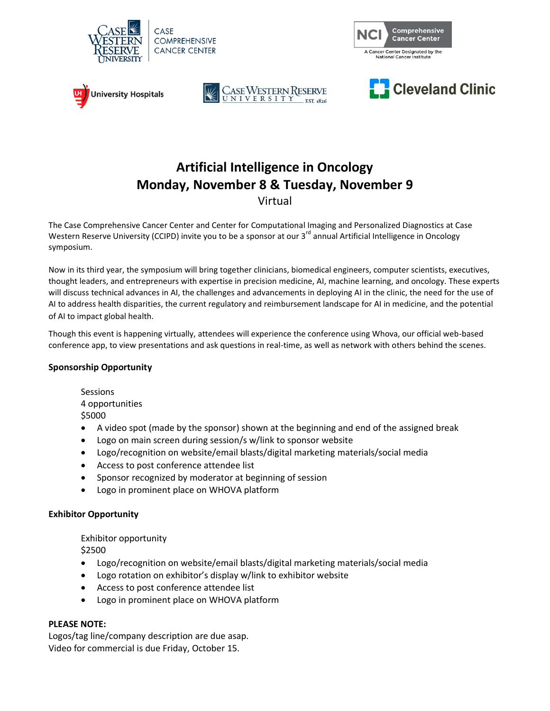









## **Artificial Intelligence in Oncology Monday, November 8 & Tuesday, November 9**

Virtual

The Case Comprehensive Cancer Center and Center for Computational Imaging and Personalized Diagnostics at Case Western Reserve University (CCIPD) invite you to be a sponsor at our 3<sup>rd</sup> annual Artificial Intelligence in Oncology symposium.

Now in its third year, the symposium will bring together clinicians, biomedical engineers, computer scientists, executives, thought leaders, and entrepreneurs with expertise in precision medicine, AI, machine learning, and oncology. These experts will discuss technical advances in AI, the challenges and advancements in deploying AI in the clinic, the need for the use of AI to address health disparities, the current regulatory and reimbursement landscape for AI in medicine, and the potential of AI to impact global health.

Though this event is happening virtually, attendees will experience the conference using Whova, our official web-based conference app, to view presentations and ask questions in real-time, as well as network with others behind the scenes.

## **Sponsorship Opportunity**

**Sessions** 4 opportunities \$5000

- A video spot (made by the sponsor) shown at the beginning and end of the assigned break
- Logo on main screen during session/s w/link to sponsor website
- Logo/recognition on website/email blasts/digital marketing materials/social media
- Access to post conference attendee list
- Sponsor recognized by moderator at beginning of session
- Logo in prominent place on WHOVA platform

## **Exhibitor Opportunity**

Exhibitor opportunity \$2500

- Logo/recognition on website/email blasts/digital marketing materials/social media
- Logo rotation on exhibitor's display w/link to exhibitor website
- Access to post conference attendee list
- Logo in prominent place on WHOVA platform

## **PLEASE NOTE:**

Logos/tag line/company description are due asap. Video for commercial is due Friday, October 15.